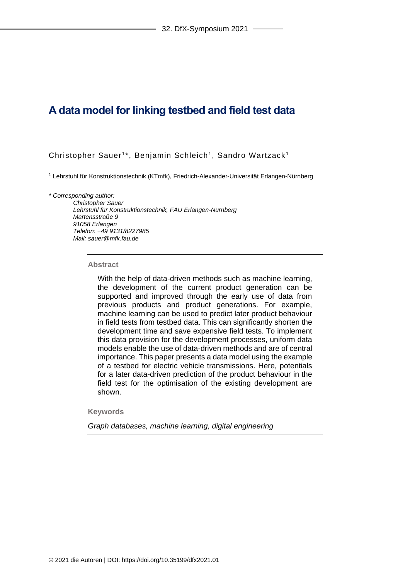# **A data model for linking testbed and field test data**

Christopher Sauer<sup>1\*</sup>, Benjamin Schleich<sup>1</sup>, Sandro Wartzack<sup>1</sup>

<sup>1</sup> Lehrstuhl für Konstruktionstechnik (KTmfk), Friedrich-Alexander-Universität Erlangen-Nürnberg

*\* Corresponding author:* 

*Christopher Sauer Lehrstuhl für Konstruktionstechnik, FAU Erlangen-Nürnberg Martensstraße 9 91058 Erlangen Telefon: +49 9131/8227985 Mail: sauer@mfk.fau.de*

#### **Abstract**

With the help of data-driven methods such as machine learning, the development of the current product generation can be supported and improved through the early use of data from previous products and product generations. For example, machine learning can be used to predict later product behaviour in field tests from testbed data. This can significantly shorten the development time and save expensive field tests. To implement this data provision for the development processes, uniform data models enable the use of data-driven methods and are of central importance. This paper presents a data model using the example of a testbed for electric vehicle transmissions. Here, potentials for a later data-driven prediction of the product behaviour in the field test for the optimisation of the existing development are shown.

**Keywords**

*Graph databases, machine learning, digital engineering*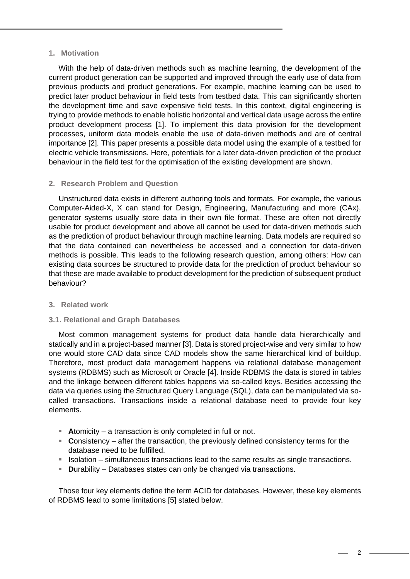## **1. Motivation**

With the help of data-driven methods such as machine learning, the development of the current product generation can be supported and improved through the early use of data from previous products and product generations. For example, machine learning can be used to predict later product behaviour in field tests from testbed data. This can significantly shorten the development time and save expensive field tests. In this context, digital engineering is trying to provide methods to enable holistic horizontal and vertical data usage across the entire product development process [1]. To implement this data provision for the development processes, uniform data models enable the use of data-driven methods and are of central importance [2]. This paper presents a possible data model using the example of a testbed for electric vehicle transmissions. Here, potentials for a later data-driven prediction of the product behaviour in the field test for the optimisation of the existing development are shown.

# **2. Research Problem and Question**

Unstructured data exists in different authoring tools and formats. For example, the various Computer-Aided-X, X can stand for Design, Engineering, Manufacturing and more (CAx), generator systems usually store data in their own file format. These are often not directly usable for product development and above all cannot be used for data-driven methods such as the prediction of product behaviour through machine learning. Data models are required so that the data contained can nevertheless be accessed and a connection for data-driven methods is possible. This leads to the following research question, among others: How can existing data sources be structured to provide data for the prediction of product behaviour so that these are made available to product development for the prediction of subsequent product behaviour?

## **3. Related work**

## **3.1. Relational and Graph Databases**

Most common management systems for product data handle data hierarchically and statically and in a project-based manner [3]. Data is stored project-wise and very similar to how one would store CAD data since CAD models show the same hierarchical kind of buildup. Therefore, most product data management happens via relational database management systems (RDBMS) such as Microsoft or Oracle [4]. Inside RDBMS the data is stored in tables and the linkage between different tables happens via so-called keys. Besides accessing the data via queries using the Structured Query Language (SQL), data can be manipulated via socalled transactions. Transactions inside a relational database need to provide four key elements.

- **E** Atomicity a transaction is only completed in full or not.
- **Consistency** after the transaction, the previously defined consistency terms for the database need to be fulfilled.
- **EXECT** Isolation simultaneous transactions lead to the same results as single transactions.
- **D**urability Databases states can only be changed via transactions.

Those four key elements define the term ACID for databases. However, these key elements of RDBMS lead to some limitations [5] stated below.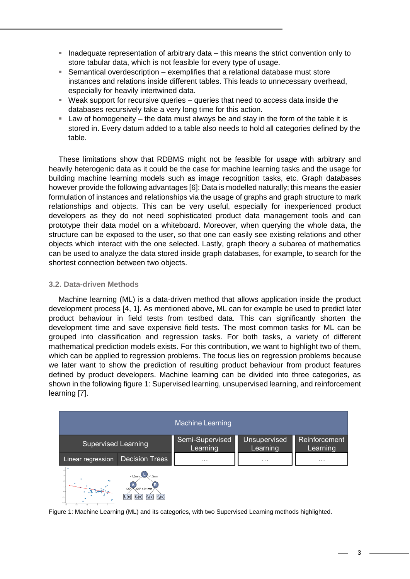- Inadequate representation of arbitrary data this means the strict convention only to store tabular data, which is not feasible for every type of usage.
- **EXEC** Semantical overdescription exemplifies that a relational database must store instances and relations inside different tables. This leads to unnecessary overhead, especially for heavily intertwined data.
- **EX Weak support for recursive queries queries that need to access data inside the** databases recursively take a very long time for this action.
- $\blacksquare$  Law of homogeneity the data must always be and stay in the form of the table it is stored in. Every datum added to a table also needs to hold all categories defined by the table.

These limitations show that RDBMS might not be feasible for usage with arbitrary and heavily heterogenic data as it could be the case for machine learning tasks and the usage for building machine learning models such as image recognition tasks, etc. Graph databases however provide the following advantages [6]: Data is modelled naturally; this means the easier formulation of instances and relationships via the usage of graphs and graph structure to mark relationships and objects. This can be very useful, especially for inexperienced product developers as they do not need sophisticated product data management tools and can prototype their data model on a whiteboard. Moreover, when querying the whole data, the structure can be exposed to the user, so that one can easily see existing relations and other objects which interact with the one selected. Lastly, graph theory a subarea of mathematics can be used to analyze the data stored inside graph databases, for example, to search for the shortest connection between two objects.

# **3.2. Data-driven Methods**

Machine learning (ML) is a data-driven method that allows application inside the product development process [4, 1]. As mentioned above, ML can for example be used to predict later product behaviour in field tests from testbed data. This can significantly shorten the development time and save expensive field tests. The most common tasks for ML can be grouped into classification and regression tasks. For both tasks, a variety of different mathematical prediction models exists. For this contribution, we want to highlight two of them, which can be applied to regression problems. The focus lies on regression problems because we later want to show the prediction of resulting product behaviour from product features defined by product developers. Machine learning can be divided into three categories, as shown in the following figure 1: Supervised learning, unsupervised learning, and reinforcement learning [7].

| <b>Machine Learning</b>    |                                                                                                            |                             |                          |                           |  |
|----------------------------|------------------------------------------------------------------------------------------------------------|-----------------------------|--------------------------|---------------------------|--|
| <b>Supervised Learning</b> |                                                                                                            | Semi-Supervised<br>Learning | Unsupervised<br>Learning | Reinforcement<br>Learning |  |
| Linear regression          | <b>Decision Trees</b>                                                                                      | $\cdots$                    | $\cdots$                 | $\cdot\cdot\cdot$         |  |
| $-1$                       | $\geq 1.3$ mm<br>$< 1.3$ mm<br>$\approx$ 20° ≤ 0.1mm<br>$\langle 20^\circ \rangle$<br>$f_2(x)$<br>$f_1(x)$ |                             |                          |                           |  |

Figure 1: Machine Learning (ML) and its categories, with two Supervised Learning methods highlighted.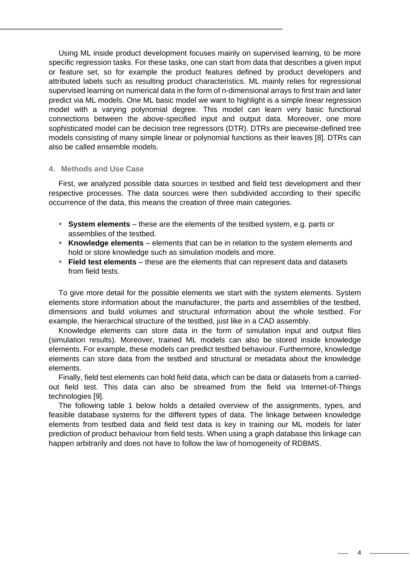Using ML inside product development focuses mainly on supervised learning, to be more specific regression tasks. For these tasks, one can start from data that describes a given input or feature set, so for example the product features defined by product developers and attributed labels such as resulting product characteristics. ML mainly relies for regressional supervised learning on numerical data in the form of n-dimensional arrays to first train and later predict via ML models. One ML basic model we want to highlight is a simple linear regression model with a varying polynomial degree. This model can learn very basic functional connections between the above-specified input and output data. Moreover, one more sophisticated model can be decision tree regressors (DTR). DTRs are piecewise-defined tree models consisting of many simple linear or polynomial functions as their leaves [8]. DTRs can also be called ensemble models.

## **4. Methods and Use Case**

First, we analyzed possible data sources in testbed and field test development and their respective processes. The data sources were then subdivided according to their specific occurrence of the data, this means the creation of three main categories.

- **System elements** these are the elements of the testbed system, e.g. parts or assemblies of the testbed.
- **EXALUM Knowledge elements** elements that can be in relation to the system elements and hold or store knowledge such as simulation models and more.
- **Field test elements** these are the elements that can represent data and datasets from field tests.

To give more detail for the possible elements we start with the system elements. System elements store information about the manufacturer, the parts and assemblies of the testbed, dimensions and build volumes and structural information about the whole testbed. For example, the hierarchical structure of the testbed, just like in a CAD assembly.

Knowledge elements can store data in the form of simulation input and output files (simulation results). Moreover, trained ML models can also be stored inside knowledge elements. For example, these models can predict testbed behaviour. Furthermore, knowledge elements can store data from the testbed and structural or metadata about the knowledge elements.

Finally, field test elements can hold field data, which can be data or datasets from a carriedout field test. This data can also be streamed from the field via Internet-of-Things technologies [9].

The following table 1 below holds a detailed overview of the assignments, types, and feasible database systems for the different types of data. The linkage between knowledge elements from testbed data and field test data is key in training our ML models for later prediction of product behaviour from field tests. When using a graph database this linkage can happen arbitrarily and does not have to follow the law of homogeneity of RDBMS.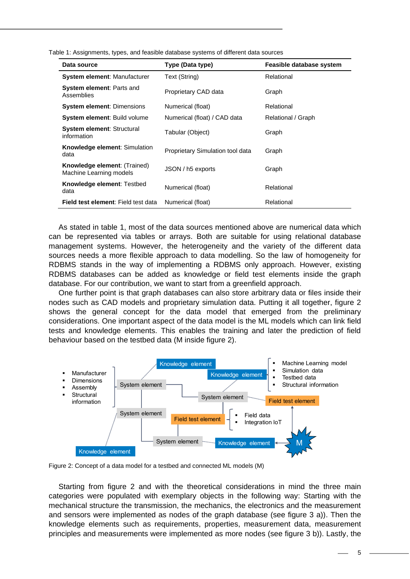| Data source                                                    | Type (Data type)                        | Feasible database system |  |
|----------------------------------------------------------------|-----------------------------------------|--------------------------|--|
| <b>System element: Manufacturer</b>                            | Text (String)                           | Relational               |  |
| System element: Parts and<br>Assemblies                        | Proprietary CAD data                    | Graph                    |  |
| <b>System element: Dimensions</b>                              | Numerical (float)                       | Relational               |  |
| System element: Build volume                                   | Numerical (float) / CAD data            | Relational / Graph       |  |
| <b>System element: Structural</b><br>information               | Tabular (Object)                        | Graph                    |  |
| Knowledge element: Simulation<br>data                          | <b>Proprietary Simulation tool data</b> | Graph                    |  |
| <b>Knowledge element: (Trained)</b><br>Machine Learning models | JSON / h5 exports                       | Graph                    |  |
| <b>Knowledge element: Testbed</b><br>data                      | Numerical (float)                       | Relational               |  |
| <b>Field test element:</b> Field test data                     | Numerical (float)                       | Relational               |  |

As stated in table 1, most of the data sources mentioned above are numerical data which can be represented via tables or arrays. Both are suitable for using relational database management systems. However, the heterogeneity and the variety of the different data sources needs a more flexible approach to data modelling. So the law of homogeneity for RDBMS stands in the way of implementing a RDBMS only approach. However, existing RDBMS databases can be added as knowledge or field test elements inside the graph database. For our contribution, we want to start from a greenfield approach.

One further point is that graph databases can also store arbitrary data or files inside their nodes such as CAD models and proprietary simulation data. Putting it all together, figure 2 shows the general concept for the data model that emerged from the preliminary considerations. One important aspect of the data model is the ML models which can link field tests and knowledge elements. This enables the training and later the prediction of field behaviour based on the testbed data (M inside figure 2).



Figure 2: Concept of a data model for a testbed and connected ML models (M)

Starting from figure 2 and with the theoretical considerations in mind the three main categories were populated with exemplary objects in the following way: Starting with the mechanical structure the transmission, the mechanics, the electronics and the measurement and sensors were implemented as nodes of the graph database (see figure 3 a)). Then the knowledge elements such as requirements, properties, measurement data, measurement principles and measurements were implemented as more nodes (see figure 3 b)). Lastly, the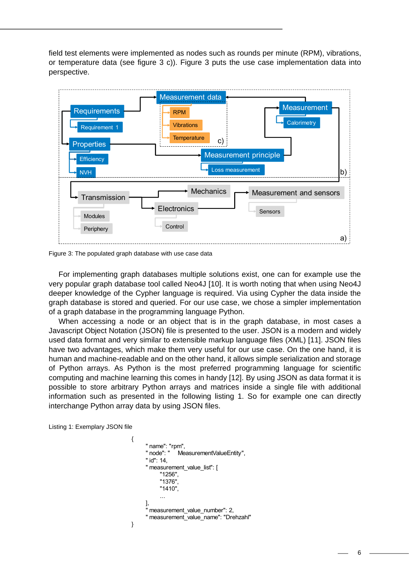field test elements were implemented as nodes such as rounds per minute (RPM), vibrations, or temperature data (see figure  $3$  c)). Figure  $3$  puts the use case implementation data into perspective.





{

For implementing graph databases multiple solutions exist, one can for example use the very popular graph database tool called Neo4J [10]. It is worth noting that when using Neo4J deeper knowledge of the Cypher language is required. Via using Cypher the data inside the graph database is stored and queried. For our use case, we chose a simpler implementation of a graph database in the programming language Python.

When accessing a node or an object that is in the graph database, in most cases a Javascript Object Notation (JSON) file is presented to the user. JSON is a modern and widely used data format and very similar to extensible markup language files (XML) [11]. JSON files have two advantages, which make them very useful for our use case. On the one hand, it is human and machine-readable and on the other hand, it allows simple serialization and storage of Python arrays. As Python is the most preferred programming language for scientific computing and machine learning this comes in handy [12]. By using JSON as data format it is possible to store arbitrary Python arrays and matrices inside a single file with additional information such as presented in the following listing 1. So for example one can directly interchange Python array data by using JSON files.

Listing 1: Exemplary JSON file

```
l
                             MeasurementValueEntity",
         ľ
         ï
         l
                  ï
                  l
                  ï
         ]
         ï
         l
\mathcal{E}
```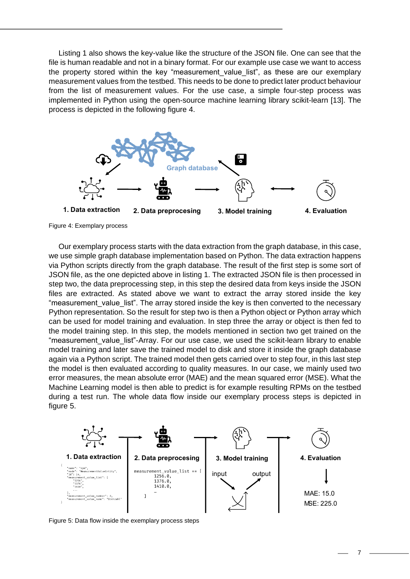Listing 1 also shows the key-value like the structure of the JSON file. One can see that the file is human readable and not in a binary format. For our example use case we want to access the property stored within the key "measurement value list", as these are our exemplary measurement values from the testbed. This needs to be done to predict later product behaviour from the list of measurement values. For the use case, a simple four-step process was implemented in Python using the open-source machine learning library scikit-learn [13]. The process is depicted in the following figure 4.



Figure 4: Exemplary process

Our exemplary process starts with the data extraction from the graph database, in this case, we use simple graph database implementation based on Python. The data extraction happens via Python scripts directly from the graph database. The result of the first step is some sort of JSON file, as the one depicted above in listing 1. The extracted JSON file is then processed in step two, the data preprocessing step, in this step the desired data from keys inside the JSON files are extracted. As stated above we want to extract the array stored inside the key " measurement value list". The array stored inside the key is then converted to the necessary Python representation. So the result for step two is then a Python object or Python array which can be used for model training and evaluation. In step three the array or object is then fed to the model training step. In this step, the models mentioned in section two get trained on the "measurement value list"-Array. For our use case, we used the scikit-learn library to enable model training and later save the trained model to disk and store it inside the graph database again via a Python script. The trained model then gets carried over to step four, in this last step the model is then evaluated according to quality measures. In our case, we mainly used two error measures, the mean absolute error (MAE) and the mean squared error (MSE). What the Machine Learning model is then able to predict is for example resulting RPMs on the testbed during a test run. The whole data flow inside our exemplary process steps is depicted in figure 5.



Figure 5: Data flow inside the exemplary process steps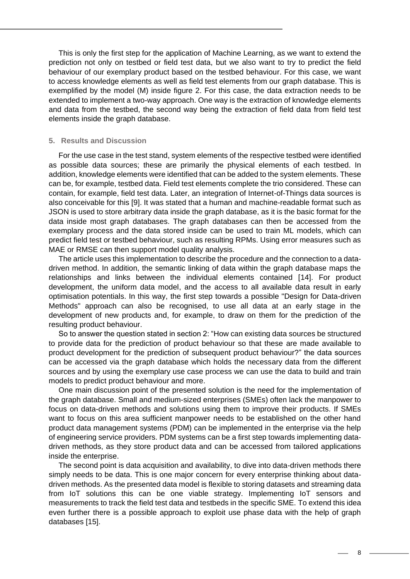This is only the first step for the application of Machine Learning, as we want to extend the prediction not only on testbed or field test data, but we also want to try to predict the field behaviour of our exemplary product based on the testbed behaviour. For this case, we want to access knowledge elements as well as field test elements from our graph database. This is exemplified by the model (M) inside figure 2. For this case, the data extraction needs to be extended to implement a two-way approach. One way is the extraction of knowledge elements and data from the testbed, the second way being the extraction of field data from field test elements inside the graph database.

#### **5. Results and Discussion**

For the use case in the test stand, system elements of the respective testbed were identified as possible data sources; these are primarily the physical elements of each testbed. In addition, knowledge elements were identified that can be added to the system elements. These can be, for example, testbed data. Field test elements complete the trio considered. These can contain, for example, field test data. Later, an integration of Internet-of-Things data sources is also conceivable for this [9]. It was stated that a human and machine-readable format such as JSON is used to store arbitrary data inside the graph database, as it is the basic format for the data inside most graph databases. The graph databases can then be accessed from the exemplary process and the data stored inside can be used to train ML models, which can predict field test or testbed behaviour, such as resulting RPMs. Using error measures such as MAE or RMSE can then support model quality analysis.

The article uses this implementation to describe the procedure and the connection to a datadriven method. In addition, the semantic linking of data within the graph database maps the relationships and links between the individual elements contained [14]. For product development, the uniform data model, and the access to all available data result in early optimisation potentials. In this way, the first step towards a possible "Design for Data-driven Methods" approach can also be recognised, to use all data at an early stage in the development of new products and, for example, to draw on them for the prediction of the resulting product behaviour.

So to answer the question stated in section 2: "How can existing data sources be structured to provide data for the prediction of product behaviour so that these are made available to product development for the prediction of subsequent product behaviour?" the data sources can be accessed via the graph database which holds the necessary data from the different sources and by using the exemplary use case process we can use the data to build and train models to predict product behaviour and more.

One main discussion point of the presented solution is the need for the implementation of the graph database. Small and medium-sized enterprises (SMEs) often lack the manpower to focus on data-driven methods and solutions using them to improve their products. If SMEs want to focus on this area sufficient manpower needs to be established on the other hand product data management systems (PDM) can be implemented in the enterprise via the help of engineering service providers. PDM systems can be a first step towards implementing datadriven methods, as they store product data and can be accessed from tailored applications inside the enterprise.

The second point is data acquisition and availability, to dive into data-driven methods there simply needs to be data. This is one major concern for every enterprise thinking about datadriven methods. As the presented data model is flexible to storing datasets and streaming data from IoT solutions this can be one viable strategy. Implementing IoT sensors and measurements to track the field test data and testbeds in the specific SME. To extend this idea even further there is a possible approach to exploit use phase data with the help of graph databases [15].

8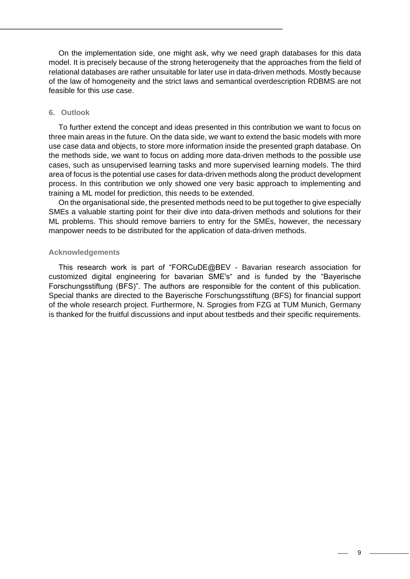On the implementation side, one might ask, why we need graph databases for this data model. It is precisely because of the strong heterogeneity that the approaches from the field of relational databases are rather unsuitable for later use in data-driven methods. Mostly because of the law of homogeneity and the strict laws and semantical overdescription RDBMS are not feasible for this use case.

#### **6. Outlook**

To further extend the concept and ideas presented in this contribution we want to focus on three main areas in the future. On the data side, we want to extend the basic models with more use case data and objects, to store more information inside the presented graph database. On the methods side, we want to focus on adding more data-driven methods to the possible use cases, such as unsupervised learning tasks and more supervised learning models. The third area of focus is the potential use cases for data-driven methods along the product development process. In this contribution we only showed one very basic approach to implementing and training a ML model for prediction, this needs to be extended.

On the organisational side, the presented methods need to be put together to give especially SMEs a valuable starting point for their dive into data-driven methods and solutions for their ML problems. This should remove barriers to entry for the SMEs, however, the necessary manpower needs to be distributed for the application of data-driven methods.

#### **Acknowledgements**

This research work is part of "FORCuDE@BEV - Bavarian research association for customized digital engineering for bavarian SME's" and is funded by the "Bayerische Forschungsstiftung (BFS)". The authors are responsible for the content of this publication. Special thanks are directed to the Bayerische Forschungsstiftung (BFS) for financial support of the whole research project. Furthermore, N. Sprogies from FZG at TUM Munich, Germany is thanked for the fruitful discussions and input about testbeds and their specific requirements.